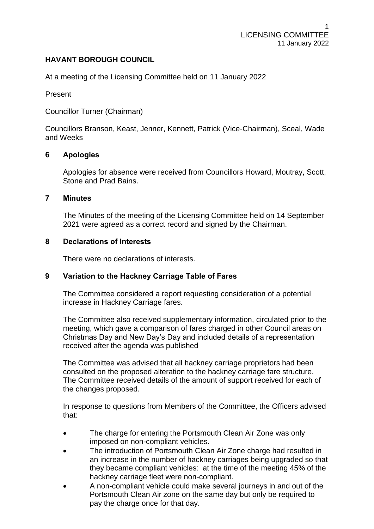# **HAVANT BOROUGH COUNCIL**

At a meeting of the Licensing Committee held on 11 January 2022

Present

Councillor Turner (Chairman)

Councillors Branson, Keast, Jenner, Kennett, Patrick (Vice-Chairman), Sceal, Wade and Weeks

# **6 Apologies**

Apologies for absence were received from Councillors Howard, Moutray, Scott, Stone and Prad Bains.

#### **7 Minutes**

The Minutes of the meeting of the Licensing Committee held on 14 September 2021 were agreed as a correct record and signed by the Chairman.

#### **8 Declarations of Interests**

There were no declarations of interests.

## **9 Variation to the Hackney Carriage Table of Fares**

The Committee considered a report requesting consideration of a potential increase in Hackney Carriage fares.

The Committee also received supplementary information, circulated prior to the meeting, which gave a comparison of fares charged in other Council areas on Christmas Day and New Day's Day and included details of a representation received after the agenda was published

The Committee was advised that all hackney carriage proprietors had been consulted on the proposed alteration to the hackney carriage fare structure. The Committee received details of the amount of support received for each of the changes proposed.

In response to questions from Members of the Committee, the Officers advised that:

- The charge for entering the Portsmouth Clean Air Zone was only imposed on non-compliant vehicles.
- The introduction of Portsmouth Clean Air Zone charge had resulted in an increase in the number of hackney carriages being upgraded so that they became compliant vehicles: at the time of the meeting 45% of the hackney carriage fleet were non-compliant.
- A non-compliant vehicle could make several journeys in and out of the Portsmouth Clean Air zone on the same day but only be required to pay the charge once for that day.